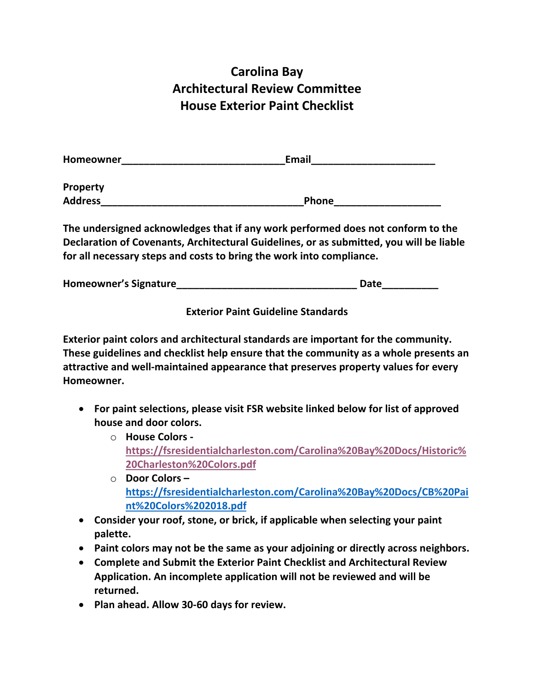## **Carolina Bay Architectural Review Committee House Exterior Paint Checklist**

| Homeowner       | <b>Email</b> |  |  |
|-----------------|--------------|--|--|
| <b>Property</b> |              |  |  |
| <b>Address</b>  | Phone        |  |  |

**The undersigned acknowledges that if any work performed does not conform to the Declaration of Covenants, Architectural Guidelines, or as submitted, you will be liable for all necessary steps and costs to bring the work into compliance.**

| Homeowner's Signature | Date |
|-----------------------|------|
|-----------------------|------|

**Exterior Paint Guideline Standards**

**Exterior paint colors and architectural standards are important for the community. These guidelines and checklist help ensure that the community as a whole presents an attractive and well-maintained appearance that preserves property values for every Homeowner.**

- **For paint selections, please visit FSR website linked below for list of approved house and door colors.** 
	- o **House Colors https://fsresidentialcharleston.com/Carolina%20Bay%20Docs/Historic% 20Charleston%20Colors.pdf**
	- o **Door Colors – https://fsresidentialcharleston.com/Carolina%20Bay%20Docs/CB%20Pai nt%20Colors%202018.pdf**
- **Consider your roof, stone, or brick, if applicable when selecting your paint palette.**
- **Paint colors may not be the same as your adjoining or directly across neighbors.**
- **Complete and Submit the Exterior Paint Checklist and Architectural Review Application. An incomplete application will not be reviewed and will be returned.**
- **Plan ahead. Allow 30-60 days for review.**